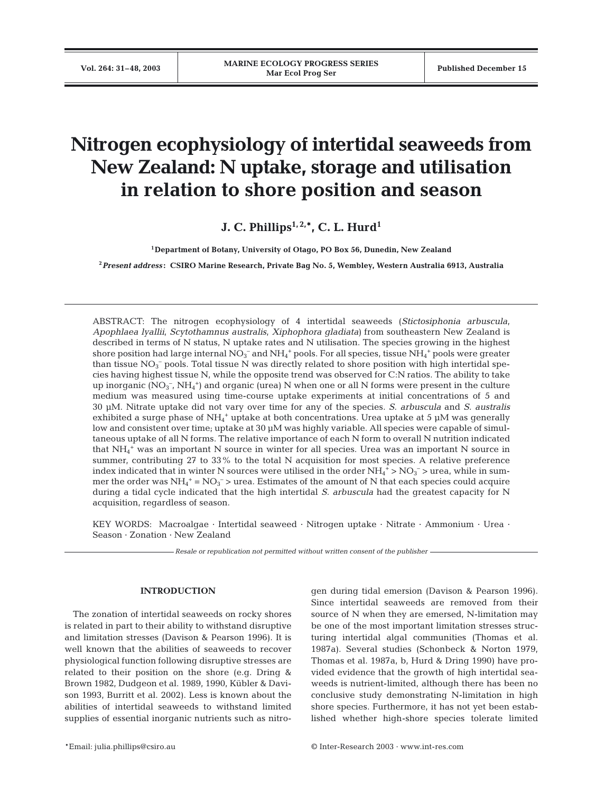# **Nitrogen ecophysiology of intertidal seaweeds from New Zealand: N uptake, storage and utilisation in relation to shore position and season**

**J. C. Phillips**<sup>1, 2,\*</sup>, C. L. Hurd<sup>1</sup>

**1Department of Botany, University of Otago, PO Box 56, Dunedin, New Zealand**

**<sup>2</sup>***Present address* **: CSIRO Marine Research, Private Bag No. 5, Wembley, Western Australia 6913, Australia**

ABSTRACT: The nitrogen ecophysiology of 4 intertidal seaweeds (*Stictosiphonia arbuscula*, *Apophlaea lyallii*, *Scytothamnus australis*, *Xiphophora gladiata)* from southeastern New Zealand is described in terms of N status, N uptake rates and N utilisation. The species growing in the highest shore position had large internal  $\rm NO_3^-$  and  $\rm NH_4^+$  pools. For all species, tissue  $\rm NH_4^+$  pools were greater than tissue  $NO_3^-$  pools. Total tissue N was directly related to shore position with high intertidal species having highest tissue N, while the opposite trend was observed for C:N ratios. The ability to take up inorganic  $(NO_3^-$ ,  $NH_4^+)$  and organic (urea) N when one or all N forms were present in the culture medium was measured using time-course uptake experiments at initial concentrations of 5 and 30 µM. Nitrate uptake did not vary over time for any of the species. *S. arbuscula* and *S. australis* exhibited a surge phase of  $NH_4^+$  uptake at both concentrations. Urea uptake at 5 µM was generally low and consistent over time; uptake at 30 µM was highly variable. All species were capable of simultaneous uptake of all N forms. The relative importance of each N form to overall N nutrition indicated that NH4 <sup>+</sup> was an important N source in winter for all species. Urea was an important N source in summer, contributing 27 to 33% to the total N acquisition for most species. A relative preference index indicated that in winter N sources were utilised in the order  $NH_4^+$  >  $NO_3^-$  > urea, while in summer the order was  $NH_4^+$  =  $NO_3^ >$  urea. Estimates of the amount of N that each species could acquire during a tidal cycle indicated that the high intertidal *S. arbuscula* had the greatest capacity for N acquisition, regardless of season.

KEY WORDS: Macroalgae · Intertidal seaweed · Nitrogen uptake · Nitrate · Ammonium · Urea · Season · Zonation · New Zealand

*Resale or republication not permitted without written consent of the publisher*

# **INTRODUCTION**

The zonation of intertidal seaweeds on rocky shores is related in part to their ability to withstand disruptive and limitation stresses (Davison & Pearson 1996). It is well known that the abilities of seaweeds to recover physiological function following disruptive stresses are related to their position on the shore (e.g. Dring & Brown 1982, Dudgeon et al. 1989, 1990, Kübler & Davison 1993, Burritt et al. 2002). Less is known about the abilities of intertidal seaweeds to withstand limited supplies of essential inorganic nutrients such as nitrogen during tidal emersion (Davison & Pearson 1996). Since intertidal seaweeds are removed from their source of N when they are emersed, N-limitation may be one of the most important limitation stresses structuring intertidal algal communities (Thomas et al. 1987a). Several studies (Schonbeck & Norton 1979, Thomas et al. 1987a, b, Hurd & Dring 1990) have provided evidence that the growth of high intertidal seaweeds is nutrient-limited, although there has been no conclusive study demonstrating N-limitation in high shore species. Furthermore, it has not yet been established whether high-shore species tolerate limited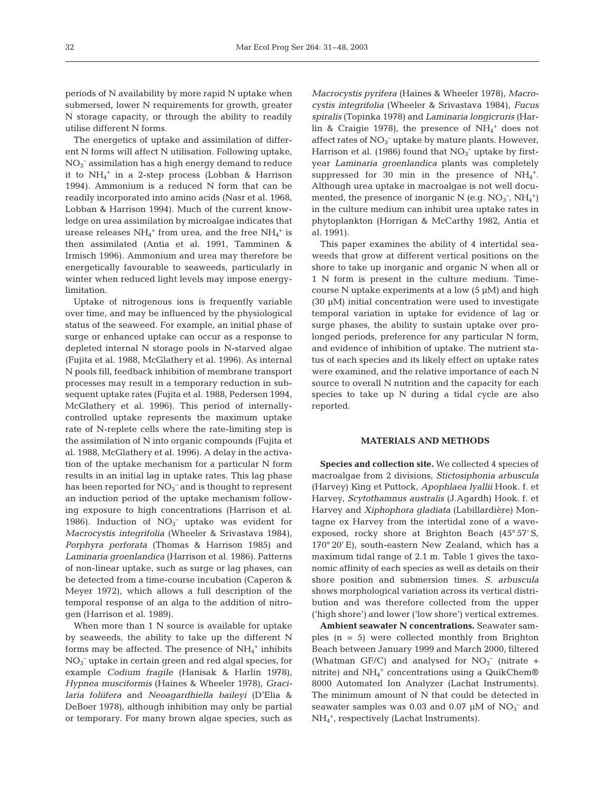periods of N availability by more rapid N uptake when submersed, lower N requirements for growth, greater N storage capacity, or through the ability to readily utilise different N forms.

The energetics of uptake and assimilation of different N forms will affect N utilisation. Following uptake,  $\rm NO_3^-$  assimilation has a high energy demand to reduce it to NH4 <sup>+</sup> in a 2-step process (Lobban & Harrison 1994). Ammonium is a reduced N form that can be readily incorporated into amino acids (Nasr et al. 1968, Lobban & Harrison 1994). Much of the current knowledge on urea assimilation by microalgae indicates that urease releases  $NH_4^+$  from urea, and the free  $NH_4^+$  is then assimilated (Antia et al. 1991, Tamminen & Irmisch 1996). Ammonium and urea may therefore be energetically favourable to seaweeds, particularly in winter when reduced light levels may impose energylimitation.

Uptake of nitrogenous ions is frequently variable over time, and may be influenced by the physiological status of the seaweed. For example, an initial phase of surge or enhanced uptake can occur as a response to depleted internal N storage pools in N-starved algae (Fujita et al. 1988, McGlathery et al. 1996). As internal N pools fill, feedback inhibition of membrane transport processes may result in a temporary reduction in subsequent uptake rates (Fujita et al. 1988, Pedersen 1994, McGlathery et al. 1996). This period of internallycontrolled uptake represents the maximum uptake rate of N-replete cells where the rate-limiting step is the assimilation of N into organic compounds (Fujita et al. 1988, McGlathery et al. 1996). A delay in the activation of the uptake mechanism for a particular N form results in an initial lag in uptake rates. This lag phase has been reported for  $NO<sub>3</sub><sup>-</sup>$  and is thought to represent an induction period of the uptake mechanism following exposure to high concentrations (Harrison et al. 1986). Induction of  $NO<sub>3</sub><sup>-</sup>$  uptake was evident for *Macrocystis integrifolia* (Wheeler & Srivastava 1984), *Porphyra perforata* (Thomas & Harrison 1985) and *Laminaria groenlandica* (Harrison et al. 1986). Patterns of non-linear uptake, such as surge or lag phases, can be detected from a time-course incubation (Caperon & Meyer 1972), which allows a full description of the temporal response of an alga to the addition of nitrogen (Harrison et al. 1989).

When more than 1 N source is available for uptake by seaweeds, the ability to take up the different N forms may be affected. The presence of  $NH_4^+$  inhibits NO3 – uptake in certain green and red algal species, for example *Codium fragile* (Hanisak & Harlin 1978), *Hypnea musciformis* (Haines & Wheeler 1978), *Gracilaria foliifera* and *Neoagardhiella baileyi* (D'Elia & DeBoer 1978), although inhibition may only be partial or temporary. For many brown algae species, such as

*Macrocystis pyrifera* (Haines & Wheeler 1978), *Macrocystis integrifolia* (Wheeler & Srivastava 1984), *Fucus spiralis* (Topinka 1978) and *Laminaria longicruris* (Harlin & Craigie 1978), the presence of  $NH_4^+$  does not affect rates of  $NO<sub>3</sub><sup>-</sup>$  uptake by mature plants. However, Harrison et al. (1986) found that  $NO<sub>3</sub><sup>-</sup>$  uptake by firstyear *Laminaria groenlandica* plants was completely suppressed for 30 min in the presence of  $NH_4^+$ . Although urea uptake in macroalgae is not well documented, the presence of inorganic N (e.g.  $NO_3^-$ ,  $NH_4^+$ ) in the culture medium can inhibit urea uptake rates in phytoplankton (Horrigan & McCarthy 1982, Antia et al. 1991).

This paper examines the ability of 4 intertidal seaweeds that grow at different vertical positions on the shore to take up inorganic and organic N when all or 1 N form is present in the culture medium. Timecourse N uptake experiments at a low  $(5 \mu M)$  and high (30 µM) initial concentration were used to investigate temporal variation in uptake for evidence of lag or surge phases, the ability to sustain uptake over prolonged periods, preference for any particular N form, and evidence of inhibition of uptake. The nutrient status of each species and its likely effect on uptake rates were examined, and the relative importance of each N source to overall N nutrition and the capacity for each species to take up N during a tidal cycle are also reported.

## **MATERIALS AND METHODS**

**Species and collection site.** We collected 4 species of macroalgae from 2 divisions, *Stictosiphonia arbuscula* (Harvey) King et Puttock, *Apophlaea lyallii* Hook. f. et Harvey, *Scytothamnus australis* (J.Agardh) Hook. f. et Harvey and *Xiphophora gladiata* (Labillardière) Montagne ex Harvey from the intertidal zone of a waveexposed, rocky shore at Brighton Beach (45° 57' S, 170° 20' E), south-eastern New Zealand, which has a maximum tidal range of 2.1 m. Table 1 gives the taxonomic affinity of each species as well as details on their shore position and submersion times. *S. arbuscula* shows morphological variation across its vertical distribution and was therefore collected from the upper ('high shore') and lower ('low shore') vertical extremes.

**Ambient seawater N concentrations.** Seawater samples (n = 5) were collected monthly from Brighton Beach between January 1999 and March 2000, filtered (Whatman GF/C) and analysed for  $NO<sub>3</sub><sup>-</sup>$  (nitrate + nitrite) and  $\mathrm{NH_4}^+$  concentrations using a QuikChem® 8000 Automated Ion Analyzer (Lachat Instruments). The minimum amount of N that could be detected in seawater samples was 0.03 and 0.07  $\mu$ M of NO<sub>3</sub><sup>-</sup> and NH4 +, respectively (Lachat Instruments).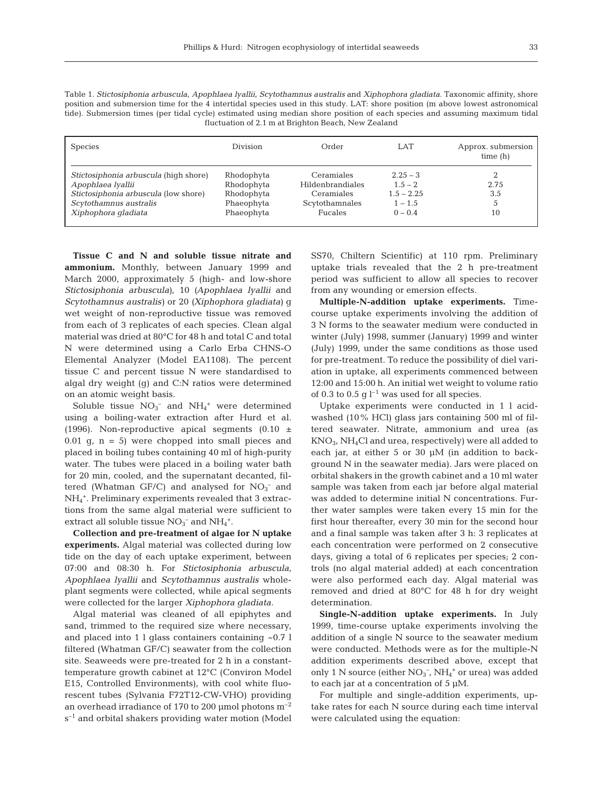| Table 1. Stictosiphonia arbuscula, Apophlaea Iyallii, Scytothamnus australis and Xiphophora gladiata. Taxonomic affinity, shore |
|---------------------------------------------------------------------------------------------------------------------------------|
| position and submersion time for the 4 intertidal species used in this study. LAT: shore position (m above lowest astronomical  |
| tide). Submersion times (per tidal cycle) estimated using median shore position of each species and assuming maximum tidal      |
| fluctuation of 2.1 m at Brighton Beach, New Zealand                                                                             |
|                                                                                                                                 |

| <b>Species</b>                        | Division   | Order                   | LAT          | Approx. submersion<br>time(h) |  |  |  |
|---------------------------------------|------------|-------------------------|--------------|-------------------------------|--|--|--|
| Stictosiphonia arbuscula (high shore) | Rhodophyta | Ceramiales              | $2.25 - 3$   |                               |  |  |  |
| Apophlaea Ivallii                     | Rhodophyta | <b>Hildenbrandiales</b> | $1.5 - 2$    | 2.75                          |  |  |  |
| Stictosiphonia arbuscula (low shore)  | Rhodophyta | Ceramiales              | $1.5 - 2.25$ | 3.5                           |  |  |  |
| Scytothamnus australis                | Phaeophyta | Scytothamnales          | $1 - 1.5$    | 5                             |  |  |  |
| Xiphophora gladiata                   | Phaeophyta | <b>Fucales</b>          | $0 - 0.4$    | 10                            |  |  |  |
|                                       |            |                         |              |                               |  |  |  |

**Tissue C and N and soluble tissue nitrate and ammonium.** Monthly, between January 1999 and March 2000, approximately 5 (high- and low-shore *Stictosiphonia arbuscula)*, 10 *(Apophlaea lyallii* and *Scytothamnus australis)* or 20 *(Xiphophora gladiata)* g wet weight of non-reproductive tissue was removed from each of 3 replicates of each species. Clean algal material was dried at 80°C for 48 h and total C and total N were determined using a Carlo Erba CHNS-O Elemental Analyzer (Model EA1108). The percent tissue C and percent tissue N were standardised to algal dry weight (g) and C:N ratios were determined on an atomic weight basis.

Soluble tissue  $NO<sub>3</sub><sup>-</sup>$  and  $NH<sub>4</sub><sup>+</sup>$  were determined using a boiling-water extraction after Hurd et al. (1996). Non-reproductive apical segments (0.10  $\pm$  $0.01$  g,  $n = 5$ ) were chopped into small pieces and placed in boiling tubes containing 40 ml of high-purity water. The tubes were placed in a boiling water bath for 20 min, cooled, and the supernatant decanted, filtered (Whatman GF/C) and analysed for  $NO<sub>3</sub><sup>-</sup>$  and NH4 +. Preliminary experiments revealed that 3 extractions from the same algal material were sufficient to extract all soluble tissue  $\mathrm{NO_3}^-$  and  $\mathrm{NH_4}^+.$ 

**Collection and pre-treatment of algae for N uptake experiments.** Algal material was collected during low tide on the day of each uptake experiment, between 07:00 and 08:30 h. For *Stictosiphonia arbuscula*, *Apophlaea lyallii* and *Scytothamnus australis* wholeplant segments were collected, while apical segments were collected for the larger *Xiphophora gladiata.*

Algal material was cleaned of all epiphytes and sand, trimmed to the required size where necessary, and placed into 1 l glass containers containing ~0.7 l filtered (Whatman GF/C) seawater from the collection site. Seaweeds were pre-treated for 2 h in a constanttemperature growth cabinet at 12°C (Conviron Model E15, Controlled Environments), with cool white fluorescent tubes (Sylvania F72T12-CW-VHO) providing an overhead irradiance of 170 to 200 µmol photons  $m^{-2}$ s<sup>-1</sup> and orbital shakers providing water motion (Model

SS70, Chiltern Scientific) at 110 rpm. Preliminary uptake trials revealed that the 2 h pre-treatment period was sufficient to allow all species to recover from any wounding or emersion effects.

**Multiple-N-addition uptake experiments.** Timecourse uptake experiments involving the addition of 3 N forms to the seawater medium were conducted in winter (July) 1998, summer (January) 1999 and winter (July) 1999, under the same conditions as those used for pre-treatment. To reduce the possibility of diel variation in uptake, all experiments commenced between 12:00 and 15:00 h. An initial wet weight to volume ratio of 0.3 to 0.5 g  $l^{-1}$  was used for all species.

Uptake experiments were conducted in 1 l acidwashed (10% HCl) glass jars containing 500 ml of filtered seawater. Nitrate, ammonium and urea (as KNO3, NH4Cl and urea, respectively) were all added to each jar, at either 5 or 30 µM (in addition to background N in the seawater media). Jars were placed on orbital shakers in the growth cabinet and a 10 ml water sample was taken from each jar before algal material was added to determine initial N concentrations. Further water samples were taken every 15 min for the first hour thereafter, every 30 min for the second hour and a final sample was taken after 3 h: 3 replicates at each concentration were performed on 2 consecutive days, giving a total of 6 replicates per species; 2 controls (no algal material added) at each concentration were also performed each day. Algal material was removed and dried at 80°C for 48 h for dry weight determination.

**Single-N-addition uptake experiments.** In July 1999, time-course uptake experiments involving the addition of a single N source to the seawater medium were conducted. Methods were as for the multiple-N addition experiments described above, except that only 1 N source (either  $NO<sub>3</sub><sup>-</sup>$ ,  $NH<sub>4</sub><sup>+</sup>$  or urea) was added to each jar at a concentration of 5 µM.

For multiple and single-addition experiments, uptake rates for each N source during each time interval were calculated using the equation: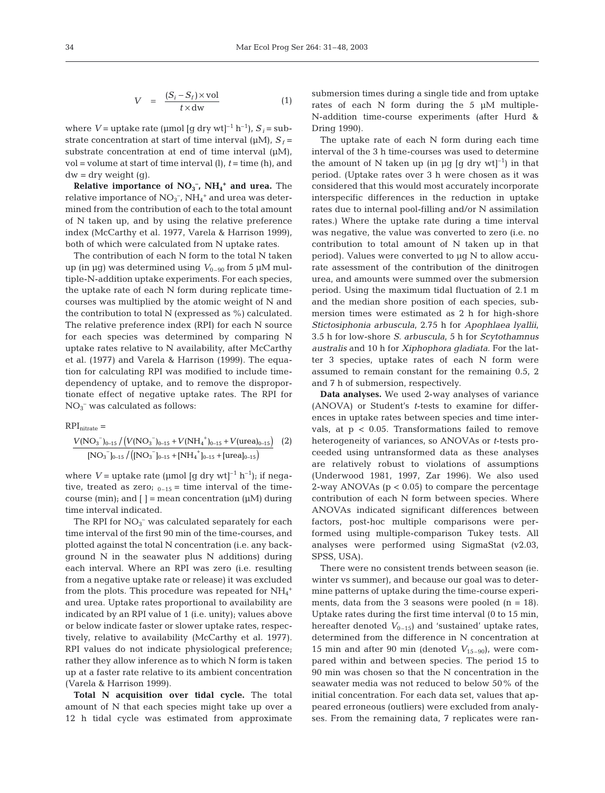$$
V = \frac{(S_i - S_f) \times \text{vol}}{t \times \text{dw}} \tag{1}
$$

where  $V =$  uptake rate (µmol  $[q \, dry \, wt]^{-1} h^{-1}$ ),  $S_i = sub$ strate concentration at start of time interval ( $\mu$ M),  $S_f$  = substrate concentration at end of time interval (uM), vol = volume at start of time interval (l), *t* = time (h), and  $dw = dry$  weight (g).

**Relative importance of**  $NO<sub>3</sub><sup>-</sup>$ **,**  $NH<sub>4</sub><sup>+</sup>$  **and urea.** The relative importance of  $NO_3^-$ ,  $NH_4^+$  and urea was determined from the contribution of each to the total amount of N taken up, and by using the relative preference index (McCarthy et al. 1977, Varela & Harrison 1999), both of which were calculated from N uptake rates.

The contribution of each N form to the total N taken up (in μg) was determined using  $V_{0-90}$  from 5 μM multiple-N-addition uptake experiments. For each species, the uptake rate of each N form during replicate timecourses was multiplied by the atomic weight of N and the contribution to total N (expressed as %) calculated. The relative preference index (RPI) for each N source for each species was determined by comparing N uptake rates relative to N availability, after McCarthy et al. (1977) and Varela & Harrison (1999). The equation for calculating RPI was modified to include timedependency of uptake, and to remove the disproportionate effect of negative uptake rates. The RPI for  $NO<sub>3</sub><sup>-</sup>$  was calculated as follows:

 $RPI_{nitrate}$  =  $V(\text{NO}_3^-)_{0-15} / (V(\text{NO}_3^-)_{0-15} + V(\text{NH}_4^+)_{0-15} + V(\text{urea})_{0-15})$  (2)  $[NO<sub>3</sub><sup>-</sup>]_{0-15} / ([NO<sub>3</sub><sup>-</sup>]_{0-15} + [NH<sub>4</sub><sup>-</sup>]_{0-15} + [urea]$  $^{-})_{0-15}/\left(V(\mathrm{NO_3}^{+})_{0-15}^{+}+V(\mathrm{NH_4}^{+})_{0-15}^{+}+V(\mathrm{urea})_{0-15}\right)$  $\big\lceil \mathrm{J}_{0\text{--}15} \, \big/ \big( \mathrm{[NO_3}^\top \mathrm{]}_{0\text{--}15} + \mathrm{[NH_4}^+ \mathrm{]}_{0\text{--}15} + \mathrm{[urea]}_0 \big\rceil$  $\rm NO_3^-)_{0-15}$  /  $\rm (V(NO_3^-)_{0-15}$  +  $\rm V(NH_4^{\texttt{-}})_{0-15}$  +  $\rm V(urea$  $\rm NO_3^-]_{0-15}$  /  $\rm ([NO_3^-]_{0-15} + [NH_4^+]_{0-15} + [urea])$ 3 Jo-15 / (V UVC 3 Jo-15 + V UVII4 Jo-15 + V (ULC  $\alpha$ Jo-15 3 J0–15 /  $\left(\begin{array}{cc} 1 & 0 & 0 \\ 0 & 1 & 0 \end{array}\right)$  J0–15  $\pm$   $\left[\begin{array}{cc} 1 & 0 & 0 \\ 0 & 1 & 0 \end{array}\right]$   $\left(\begin{array}{cc} 0 & 0 & 0 \\ 0 & 1 & 0 \end{array}\right)$ / /  $\left( V(\mathrm{NO_3}^-)_{0\mathrm{-}15} + V(\mathrm{NH_4}^+)_{0\mathrm{-}15} + V(\mathrm{urea})_{0\mathrm{-}15} \right)$  $([{\rm NO}_3]_{0-15}$  +  $[{\rm NH}_4{}^{\scriptscriptstyle +}]_{0-15}$  +  $[{\rm urea}]_{0-15})$ +  $_{-15}/([NO_3^{\ -}]_{0-15}+[NH_4^{\ +}]_{0-}$ 

where  $V =$  uptake rate (µmol [g dry wt]<sup>-1</sup> h<sup>-1</sup>); if negative, treated as zero;  $_{0-15}$  = time interval of the timecourse (min); and  $[$   $]$  = mean concentration ( $\mu$ M) during time interval indicated.

The RPI for  $NO_3^-$  was calculated separately for each time interval of the first 90 min of the time-courses, and plotted against the total N concentration (i.e. any background N in the seawater plus N additions) during each interval. Where an RPI was zero (i.e. resulting from a negative uptake rate or release) it was excluded from the plots. This procedure was repeated for  $NH_4^+$ and urea. Uptake rates proportional to availability are indicated by an RPI value of 1 (i.e. unity); values above or below indicate faster or slower uptake rates, respectively, relative to availability (McCarthy et al. 1977). RPI values do not indicate physiological preference; rather they allow inference as to which N form is taken up at a faster rate relative to its ambient concentration (Varela & Harrison 1999).

**Total N acquisition over tidal cycle.** The total amount of N that each species might take up over a 12 h tidal cycle was estimated from approximate submersion times during a single tide and from uptake rates of each N form during the 5 µM multiple-N-addition time-course experiments (after Hurd & Dring 1990).

The uptake rate of each N form during each time interval of the 3 h time-courses was used to determine the amount of N taken up (in µg [g dry wt]<sup>-1</sup>) in that period. (Uptake rates over 3 h were chosen as it was considered that this would most accurately incorporate interspecific differences in the reduction in uptake rates due to internal pool-filling and/or N assimilation rates.) Where the uptake rate during a time interval was negative, the value was converted to zero (i.e. no contribution to total amount of N taken up in that period). Values were converted to µg N to allow accurate assessment of the contribution of the dinitrogen urea, and amounts were summed over the submersion period. Using the maximum tidal fluctuation of 2.1 m and the median shore position of each species, submersion times were estimated as 2 h for high-shore *Stictosiphonia arbuscula*, 2.75 h for *Apophlaea lyallii*, 3.5 h for low-shore *S. arbuscula*, 5 h for *Scytothamnus australis* and 10 h for *Xiphophora gladiata*. For the latter 3 species, uptake rates of each N form were assumed to remain constant for the remaining 0.5, 2 and 7 h of submersion, respectively.

**Data analyses.** We used 2-way analyses of variance (ANOVA) or Student's *t*-tests to examine for differences in uptake rates between species and time intervals, at  $p < 0.05$ . Transformations failed to remove heterogeneity of variances, so ANOVAs or *t*-tests proceeded using untransformed data as these analyses are relatively robust to violations of assumptions (Underwood 1981, 1997, Zar 1996). We also used 2-way ANOVAs  $(p < 0.05)$  to compare the percentage contribution of each N form between species. Where ANOVAs indicated significant differences between factors, post-hoc multiple comparisons were performed using multiple-comparison Tukey tests. All analyses were performed using SigmaStat (v2.03, SPSS, USA).

There were no consistent trends between season (ie. winter vs summer), and because our goal was to determine patterns of uptake during the time-course experiments, data from the 3 seasons were pooled  $(n = 18)$ . Uptake rates during the first time interval (0 to 15 min, hereafter denoted  $V_{0-15}$ ) and 'sustained' uptake rates, determined from the difference in N concentration at 15 min and after 90 min (denoted  $V_{15-90}$ ), were compared within and between species. The period 15 to 90 min was chosen so that the N concentration in the seawater media was not reduced to below 50% of the initial concentration. For each data set, values that appeared erroneous (outliers) were excluded from analyses. From the remaining data, 7 replicates were ran-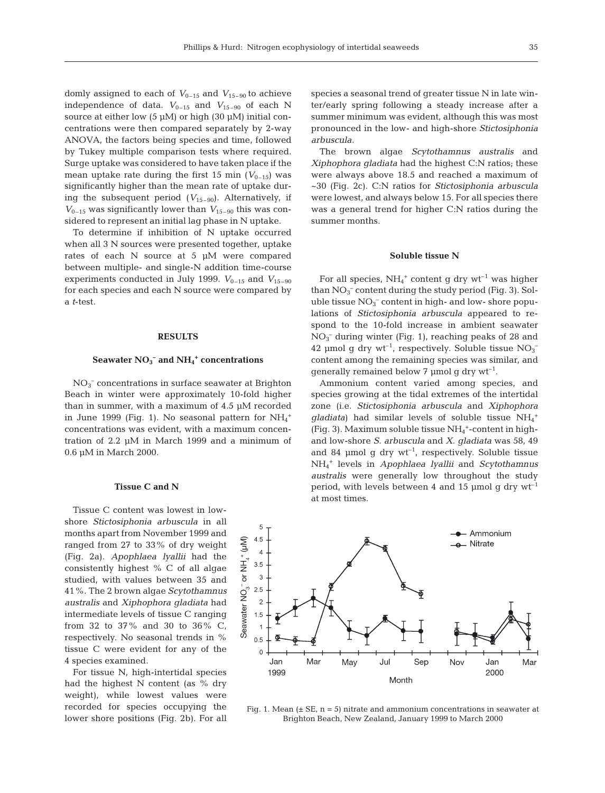domly assigned to each of  $V_{0-15}$  and  $V_{15-90}$  to achieve independence of data.  $V_{0-15}$  and  $V_{15-90}$  of each N source at either low  $(5 \mu M)$  or high  $(30 \mu M)$  initial concentrations were then compared separately by 2-way ANOVA, the factors being species and time, followed by Tukey multiple comparison tests where required. Surge uptake was considered to have taken place if the mean uptake rate during the first 15 min  $(V_{0-15})$  was significantly higher than the mean rate of uptake during the subsequent period  $(V_{15-90})$ . Alternatively, if  $V_{0-15}$  was significantly lower than  $V_{15-90}$  this was considered to represent an initial lag phase in N uptake.

To determine if inhibition of N uptake occurred when all 3 N sources were presented together, uptake rates of each N source at 5 µM were compared between multiple- and single-N addition time-course experiments conducted in July 1999.  $V_{0-15}$  and  $V_{15-90}$ for each species and each N source were compared by a *t*-test.

## **RESULTS**

# **Seawater NO3 – and NH4 <sup>+</sup> concentrations**

 $NO<sub>3</sub><sup>-</sup> concentrations in surface seawater at Brighton$ Beach in winter were approximately 10-fold higher than in summer, with a maximum of 4.5 µM recorded in June 1999 (Fig. 1). No seasonal pattern for  $NH_4^+$ concentrations was evident, with a maximum concentration of 2.2 µM in March 1999 and a minimum of 0.6 µM in March 2000.

#### **Tissue C and N**

Tissue C content was lowest in lowshore *Stictosiphonia arbuscula* in all months apart from November 1999 and ranged from 27 to 33% of dry weight (Fig. 2a). *Apophlaea lyallii* had the consistently highest % C of all algae studied, with values between 35 and 41%. The 2 brown algae *Scytothamnus australis* and *Xiphophora gladiata* had intermediate levels of tissue C ranging from 32 to 37% and 30 to 36% C, respectively. No seasonal trends in % tissue C were evident for any of the 4 species examined.

For tissue N, high-intertidal species had the highest N content (as % dry weight), while lowest values were recorded for species occupying the lower shore positions (Fig. 2b). For all species a seasonal trend of greater tissue N in late winter/early spring following a steady increase after a summer minimum was evident, although this was most pronounced in the low- and high-shore *Stictosiphonia arbuscula.*

The brown algae *Scytothamnus australis* and *Xiphophora gladiata* had the highest C:N ratios; these were always above 18.5 and reached a maximum of ~30 (Fig. 2c). C:N ratios for *Stictosiphonia arbuscula* were lowest, and always below 15. For all species there was a general trend for higher C:N ratios during the summer months.

#### **Soluble tissue N**

For all species,  $NH_4^+$  content g dry  $wt^{-1}$  was higher than  $NO<sub>3</sub><sup>-</sup>$  content during the study period (Fig. 3). Soluble tissue  $NO<sub>3</sub><sup>-</sup>$  content in high- and low- shore populations of *Stictosiphonia arbuscula* appeared to respond to the 10-fold increase in ambient seawater NO3 – during winter (Fig. 1), reaching peaks of 28 and 42 µmol g dry wt<sup>-1</sup>, respectively. Soluble tissue  $NO<sub>3</sub>$ <sup>-</sup> content among the remaining species was similar, and generally remained below 7 µmol g dry  $wt^{-1}$ .

Ammonium content varied among species, and species growing at the tidal extremes of the intertidal zone (i.e. *Stictosiphonia arbuscula* and *Xiphophora* gladiata) had similar levels of soluble tissue NH<sub>4</sub><sup>+</sup> (Fig. 3). Maximum soluble tissue  $NH_4^+$ -content in highand low-shore *S. arbuscula* and *X. gladiata* was 58, 49 and 84  $\mu$ mol g dry wt<sup>-1</sup>, respectively. Soluble tissue NH4 <sup>+</sup> levels in *Apophlaea lyallii* and *Scytothamnus australis* were generally low throughout the study period, with levels between 4 and 15 µmol g dry  $wt^{-1}$ at most times.



Fig. 1. Mean  $(\pm S E, n = 5)$  nitrate and ammonium concentrations in seawater at Brighton Beach, New Zealand, January 1999 to March 2000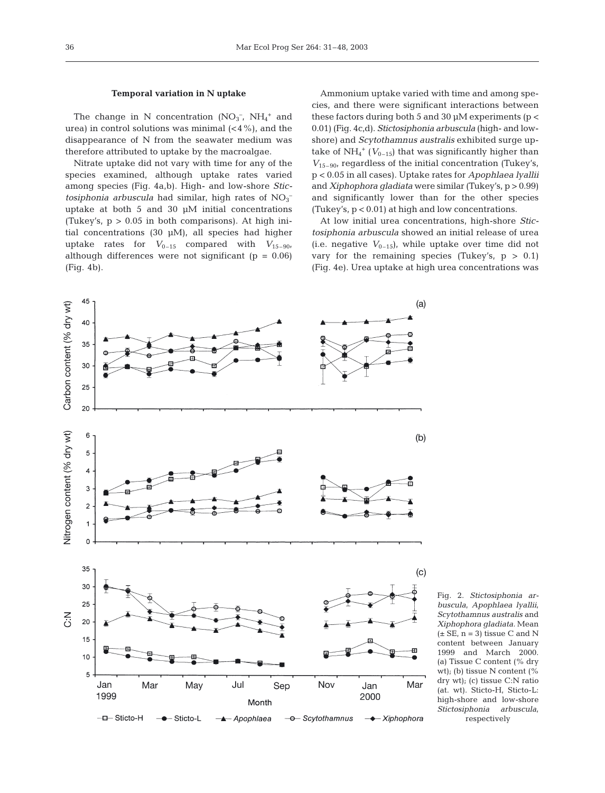#### **Temporal variation in N uptake**

The change in N concentration  $(NO<sub>3</sub><sup>-</sup>, NH<sub>4</sub><sup>+</sup>$  and urea) in control solutions was minimal  $( $4\%$ ), and the$ disappearance of N from the seawater medium was therefore attributed to uptake by the macroalgae.

Nitrate uptake did not vary with time for any of the species examined, although uptake rates varied among species (Fig. 4a,b). High- and low-shore *Stic*tosiphonia arbuscula had similar, high rates of  $NO<sub>3</sub>$ uptake at both 5 and 30 µM initial concentrations (Tukey's,  $p > 0.05$  in both comparisons). At high initial concentrations (30 µM), all species had higher uptake rates for  $V_{0-15}$  compared with  $V_{15-90}$ , although differences were not significant ( $p = 0.06$ ) (Fig. 4b).

Ammonium uptake varied with time and among species, and there were significant interactions between these factors during both 5 and 30  $\mu$ M experiments ( $p <$ 0.01) (Fig. 4c,d). *Stictosiphonia arbuscula* (high- and lowshore) and *Scytothamnus australis* exhibited surge uptake of  $NH_4^+$  ( $V_{0-15}$ ) that was significantly higher than *V*15–90, regardless of the initial concentration (Tukey's, p < 0.05 in all cases)*.* Uptake rates for *Apophlaea lyallii* and *Xiphophora gladiata* were similar (Tukey's, p > 0.99) and significantly lower than for the other species (Tukey's, p < 0.01) at high and low concentrations.

At low initial urea concentrations, high-shore *Stictosiphonia arbuscula* showed an initial release of urea (i.e. negative  $V_{0-15}$ ), while uptake over time did not vary for the remaining species (Tukey's,  $p > 0.1$ ) (Fig. 4e). Urea uptake at high urea concentrations was



Fig. 2. *Stictosiphonia arbuscula, Apophlaea lyallii, Scytothamnus australis* and *Xiphophora gladiata.* Mean  $(\pm \text{ SE}, n = 3)$  tissue C and N content between January 1999 and March 2000. (a) Tissue C content (% dry wt); (b) tissue N content (% dry wt); (c) tissue C:N ratio (at. wt). Sticto-H, Sticto-L: high-shore and low-shore *Stictosiphonia arbuscula,*  respectively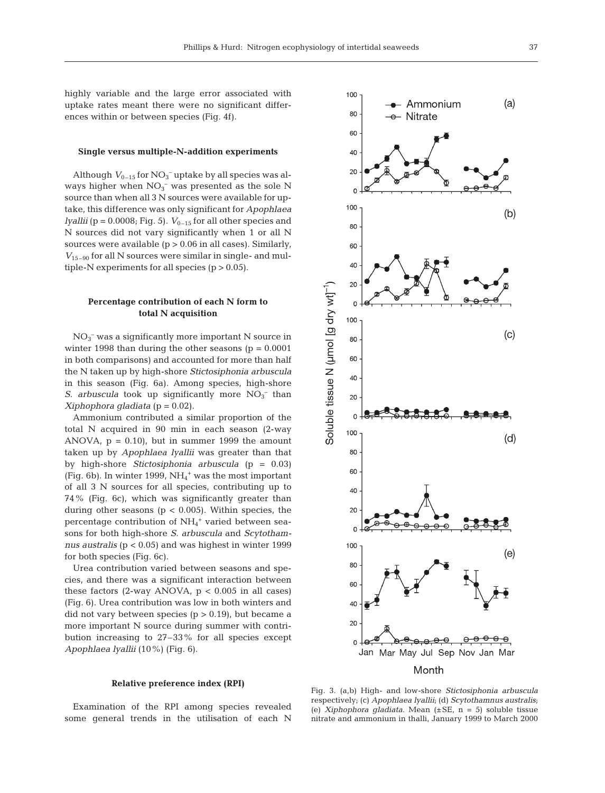highly variable and the large error associated with uptake rates meant there were no significant differences within or between species (Fig. 4f).

# **Single versus multiple-N-addition experiments**

Although  $V_{0-15}$  for  $NO<sub>3</sub><sup>-</sup>$  uptake by all species was always higher when  $NO<sub>3</sub><sup>-</sup>$  was presented as the sole N source than when all 3 N sources were available for uptake, this difference was only significant for *Apophlaea lyallii* ( $p = 0.0008$ ; Fig. 5).  $V_{0-15}$  for all other species and N sources did not vary significantly when 1 or all N sources were available  $(p > 0.06$  in all cases). Similarly,  $V_{15-90}$  for all N sources were similar in single- and multiple-N experiments for all species  $(p > 0.05)$ .

# **Percentage contribution of each N form to total N acquisition**

NO3 – was a significantly more important N source in winter 1998 than during the other seasons ( $p = 0.0001$ ) in both comparisons) and accounted for more than half the N taken up by high-shore *Stictosiphonia arbuscula* in this season (Fig. 6a). Among species, high-shore *S. arbuscula* took up significantly more  $NO_3^-$  than *Xiphophora gladiata* (p = 0.02).

Ammonium contributed a similar proportion of the total N acquired in 90 min in each season (2-way ANOVA,  $p = 0.10$ , but in summer 1999 the amount taken up by *Apophlaea lyallii* was greater than that by high-shore *Stictosiphonia arbuscula* (p = 0.03) (Fig. 6b). In winter 1999,  $NH<sub>4</sub><sup>+</sup>$  was the most important of all 3 N sources for all species, contributing up to 74% (Fig. 6c), which was significantly greater than during other seasons ( $p < 0.005$ ). Within species, the percentage contribution of NH<sub>4</sub><sup>+</sup> varied between seasons for both high-shore *S. arbuscula* and *Scytothamnus australis* (p < 0.05) and was highest in winter 1999 for both species (Fig. 6c).

Urea contribution varied between seasons and species, and there was a significant interaction between these factors (2-way ANOVA,  $p < 0.005$  in all cases) (Fig. 6). Urea contribution was low in both winters and did not vary between species  $(p > 0.19)$ , but became a more important N source during summer with contribution increasing to 27–33% for all species except *Apophlaea lyallii* (10%) (Fig. 6).

## **Relative preference index (RPI)**

Examination of the RPI among species revealed some general trends in the utilisation of each N



Fig. 3. (a,b) High- and low-shore *Stictosiphonia arbuscula* respectively; (c) *Apophlaea lyallii*; (d) *Scytothamnus australis*; (e) *Xiphophora gladiata*. Mean (±SE, n = 5) soluble tissue nitrate and ammonium in thalli, January 1999 to March 2000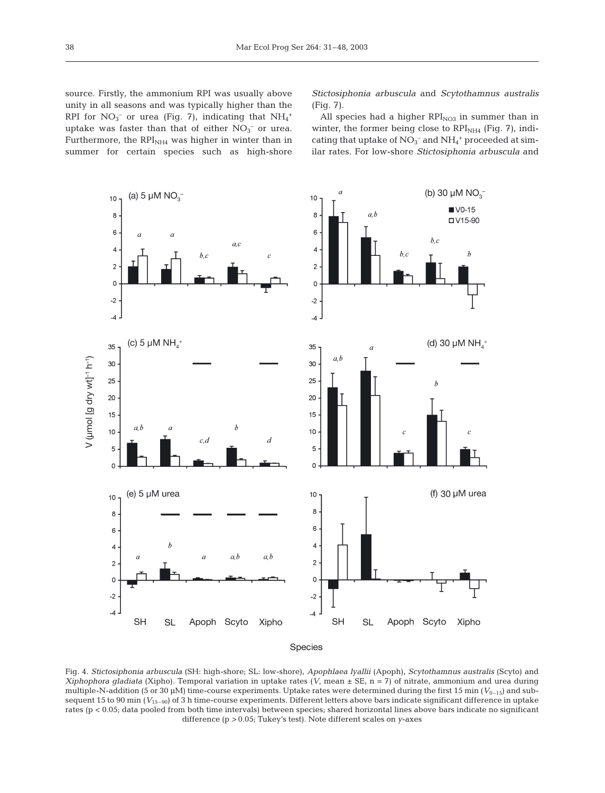source. Firstly, the ammonium RPI was usually above unity in all seasons and was typically higher than the RPI for  $NO_3^-$  or urea (Fig. 7), indicating that  $NH_4^+$ uptake was faster than that of either  $NO<sub>3</sub><sup>-</sup>$  or urea. Furthermore, the  $RPI_{NH4}$  was higher in winter than in summer for certain species such as high-shore

*Stictosiphonia arbuscula* and *Scytothamnus australis* (Fig. 7).

All species had a higher  $RPI<sub>NO3</sub>$  in summer than in winter, the former being close to  $RPI_{NH4}$  (Fig. 7), indicating that uptake of  $NO_3^-$  and  $NH_4^+$  proceeded at similar rates. For low-shore *Stictosiphonia arbuscula* and



Fig. 4. *Stictosiphonia arbuscula* (SH: high-shore; SL: low-shore)*, Apophlaea lyallii* (Apoph)*, Scytothamnus australis* (Scyto) and *Xiphophora gladiata* (Xipho). Temporal variation in uptake rates ( $V$ , mean  $\pm$  SE, n = 7) of nitrate, ammonium and urea during multiple-N-addition (5 or 30  $\mu$ M) time-course experiments. Uptake rates were determined during the first 15 min ( $V_{0-15}$ ) and subsequent 15 to 90 min ( $V_{15-90}$ ) of 3 h time-course experiments. Different letters above bars indicate significant difference in uptake rates (p < 0.05; data pooled from both time intervals) between species; shared horizontal lines above bars indicate no significant difference (p *>* 0.05; Tukey's test). Note different scales on *y*-axes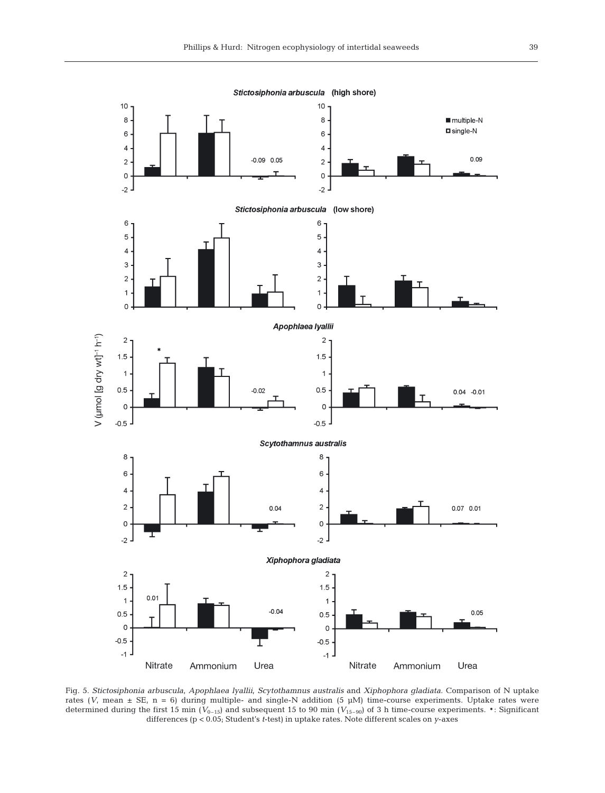

Fig. 5. *Stictosiphonia arbuscula, Apophlaea lyallii, Scytothamnus australis and Xiphophora gladiata.* Comparison of N uptake rates ( $V$ , mean  $\pm$  SE, n = 6) during multiple- and single-N addition (5  $\mu$ M) time-course experiments. Uptake rates were determined during the first 15 min ( $V_{0-15}$ ) and subsequent 15 to 90 min ( $V_{15-90}$ ) of 3 h time-course experiments. \*: Significant differences (p < 0.05; Student's *t*-test) in uptake rates. Note different scales on *y*-axes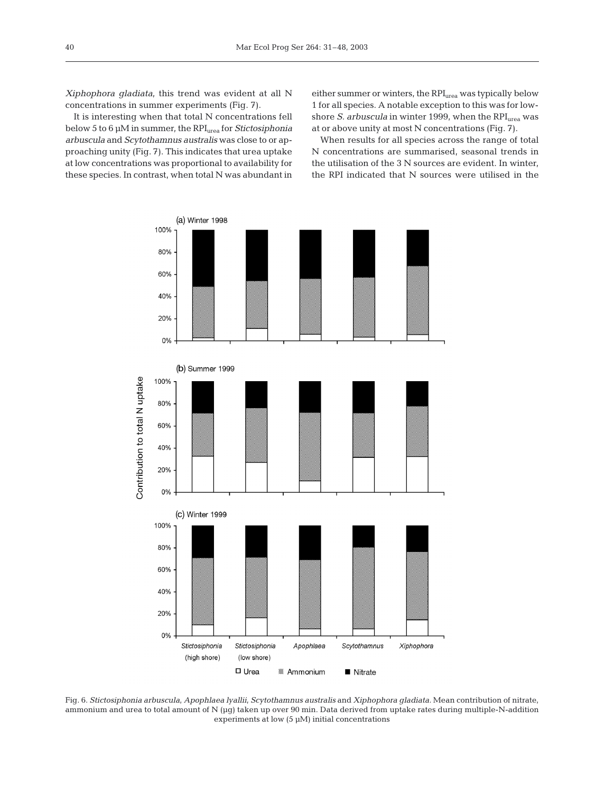*Xiphophora gladiata*, this trend was evident at all N concentrations in summer experiments (Fig. 7).

It is interesting when that total N concentrations fell below 5 to 6 µM in summer, the RPI<sub>urea</sub> for *Stictosiphonia arbuscula* and *Scytothamnus australis* was close to or approaching unity (Fig. 7). This indicates that urea uptake at low concentrations was proportional to availability for these species. In contrast, when total N was abundant in either summer or winters, the RPI<sub>urea</sub> was typically below 1 for all species. A notable exception to this was for lowshore *S. arbuscula* in winter 1999, when the RPI<sub>urea</sub> was at or above unity at most N concentrations (Fig. 7).

When results for all species across the range of total N concentrations are summarised, seasonal trends in the utilisation of the 3 N sources are evident. In winter, the RPI indicated that N sources were utilised in the



Fig. 6. *Stictosiphonia arbuscula, Apophlaea lyallii, Scytothamnus australis* and *Xiphophora gladiata*. Mean contribution of nitrate, ammonium and urea to total amount of N (µg) taken up over 90 min. Data derived from uptake rates during multiple-N-addition experiments at low  $(5 \mu M)$  initial concentrations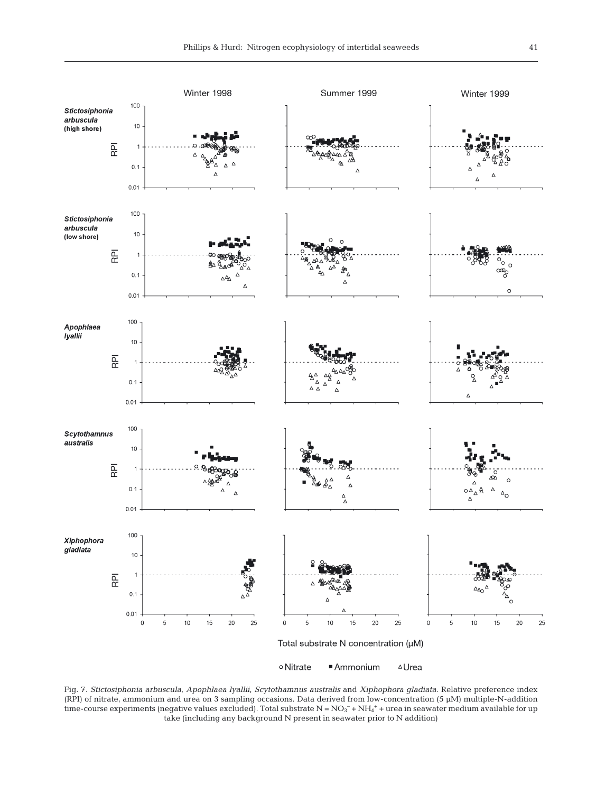

Fig. 7. *Stictosiphonia arbuscula, Apophlaea lyallii, Scytothamnus australis* and *Xiphophora gladiata.* Relative preference index (RPI) of nitrate, ammonium and urea on 3 sampling occasions. Data derived from low-concentration (5 µM) multiple-N-addition time-course experiments (negative values excluded). Total substrate  $\rm N$  =  $\rm NO_3^-$  +  $\rm NH_4^+$  + urea in seawater medium available for up take (including any background N present in seawater prior to N addition)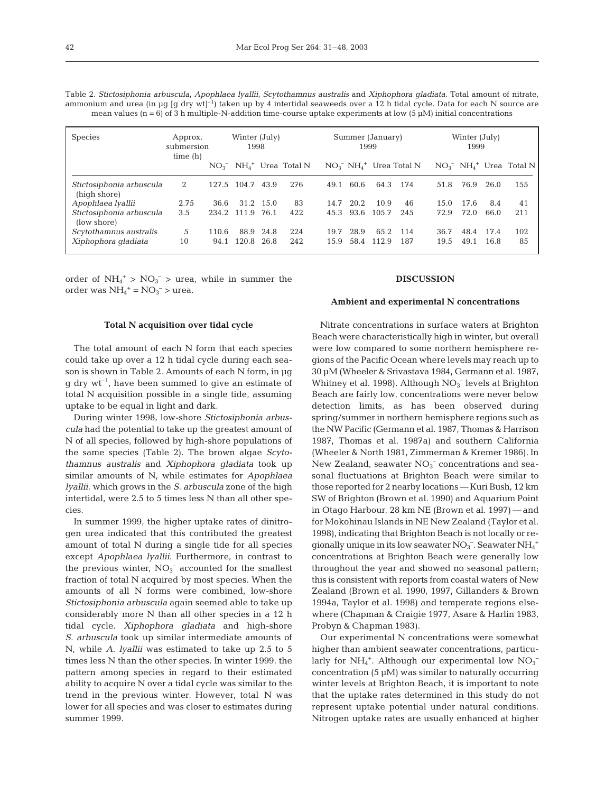| mean values $(n = 6)$ of 3 h multiple-N-addition time-course uptake experiments at low (5 $\mu$ M) initial concentrations |                                  |  |                       |  |                             |  |           |                       |                                                    |  |                |  |                             |
|---------------------------------------------------------------------------------------------------------------------------|----------------------------------|--|-----------------------|--|-----------------------------|--|-----------|-----------------------|----------------------------------------------------|--|----------------|--|-----------------------------|
| <b>Species</b>                                                                                                            | Approx.<br>submersion<br>time(h) |  | Winter (July)<br>1998 |  | Summer (January)<br>1999    |  |           | Winter (July)<br>1999 |                                                    |  |                |  |                             |
|                                                                                                                           |                                  |  |                       |  | $NO_3^ NH_4^+$ Urea Total N |  |           |                       | $NO_3^-$ NH <sub>4</sub> <sup>+</sup> Urea Total N |  |                |  | $NO_3^ NH_4^+$ Urea Total N |
| Stictosiphonia arbuscula<br>(high shore)                                                                                  | 2                                |  | 127.5 104.7 43.9      |  | 276                         |  | 49.1 60.6 | 64.3 174              |                                                    |  | 51.8 76.9 26.0 |  | 155                         |

*Apophlaea lyallii* 2.75 36.6 31.2 15.0 83 14.7 20.2 10.9 46 15.0 17.6 8.4 41

*Scytothamnus australis* 5 110.6 88.9 24.8 224 19.7 28.9 65.2 114 36.7 48.4 17.4 102 *Xiphophora gladiata* 10 94.1 120.8 26.8 242 15.9 58.4 112.9 187 19.5 49.1 16.8 85

Table 2. *Stictosiphonia arbuscula, Apophlaea lyallii, Scytothamnus australis* and *Xiphophora gladiata.* Total amount of nitrate, ammonium and urea (in µg [g dry wt]<sup>-1</sup>) taken up by 4 intertidal seaweeds over a 12 h tidal cycle. Data for each N source are

order of  $NH_4$ <sup>+</sup> >  $NO_3$ <sup>-</sup> > urea, while in summer the order was  $NH_4^+$  =  $NO_3^-$  > urea.

*Stictosiphonia arbuscula* 3.5 234.2 111.9 76.1 422 45.3

# **Total N acquisition over tidal cycle**

The total amount of each N form that each species could take up over a 12 h tidal cycle during each season is shown in Table 2. Amounts of each N form, in µg  $q$  dry wt<sup>-1</sup>, have been summed to give an estimate of total N acquisition possible in a single tide, assuming uptake to be equal in light and dark.

During winter 1998, low-shore *Stictosiphonia arbuscula* had the potential to take up the greatest amount of N of all species, followed by high-shore populations of the same species (Table 2). The brown algae *Scytothamnus australis* and *Xiphophora gladiata* took up similar amounts of N, while estimates for *Apophlaea lyallii*, which grows in the *S. arbuscula* zone of the high intertidal, were 2.5 to 5 times less N than all other species.

In summer 1999, the higher uptake rates of dinitrogen urea indicated that this contributed the greatest amount of total N during a single tide for all species except *Apophlaea lyallii*. Furthermore, in contrast to the previous winter,  $NO<sub>3</sub><sup>-</sup>$  accounted for the smallest fraction of total N acquired by most species. When the amounts of all N forms were combined, low-shore *Stictosiphonia arbuscula* again seemed able to take up considerably more N than all other species in a 12 h tidal cycle. *Xiphophora gladiata* and high-shore *S. arbuscula* took up similar intermediate amounts of N, while *A. lyallii* was estimated to take up 2.5 to 5 times less N than the other species. In winter 1999, the pattern among species in regard to their estimated ability to acquire N over a tidal cycle was similar to the trend in the previous winter. However, total N was lower for all species and was closer to estimates during summer 1999.

# **DISCUSSION**

## **Ambient and experimental N concentrations**

Nitrate concentrations in surface waters at Brighton Beach were characteristically high in winter, but overall were low compared to some northern hemisphere regions of the Pacific Ocean where levels may reach up to 30 µM (Wheeler & Srivastava 1984, Germann et al. 1987, Whitney et al. 1998). Although  $NO<sub>3</sub><sup>-</sup>$  levels at Brighton Beach are fairly low, concentrations were never below detection limits, as has been observed during spring/summer in northern hemisphere regions such as the NW Pacific (Germann et al. 1987, Thomas & Harrison 1987, Thomas et al. 1987a) and southern California (Wheeler & North 1981, Zimmerman & Kremer 1986). In New Zealand, seawater  $NO<sub>3</sub><sup>-</sup>$  concentrations and seasonal fluctuations at Brighton Beach were similar to those reported for 2 nearby locations — Kuri Bush, 12 km SW of Brighton (Brown et al. 1990) and Aquarium Point in Otago Harbour, 28 km NE (Brown et al. 1997) — and for Mokohinau Islands in NE New Zealand (Taylor et al. 1998), indicating that Brighton Beach is not locally or regionally unique in its low seawater  $\mathrm{NO_3^-}$ . Seawater  $\mathrm{NH_4}^+$ concentrations at Brighton Beach were generally low throughout the year and showed no seasonal pattern; this is consistent with reports from coastal waters of New Zealand (Brown et al. 1990, 1997, Gillanders & Brown 1994a, Taylor et al. 1998) and temperate regions elsewhere (Chapman & Craigie 1977, Asare & Harlin 1983, Probyn & Chapman 1983).

Our experimental N concentrations were somewhat higher than ambient seawater concentrations, particularly for  $NH_4$ <sup>+</sup>. Although our experimental low  $NO_3^$ concentration  $(5 \mu M)$  was similar to naturally occurring winter levels at Brighton Beach, it is important to note that the uptake rates determined in this study do not represent uptake potential under natural conditions. Nitrogen uptake rates are usually enhanced at higher

(low shore)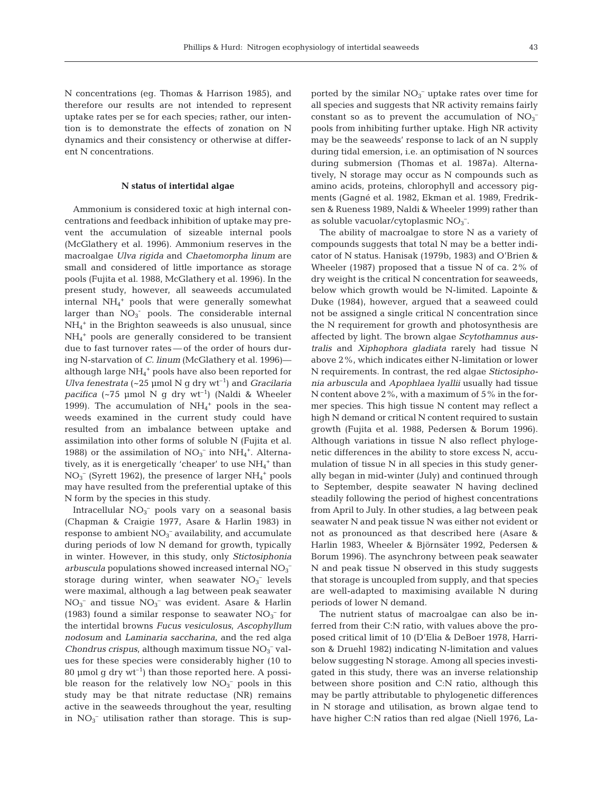N concentrations (eg. Thomas & Harrison 1985), and therefore our results are not intended to represent uptake rates per se for each species; rather, our intention is to demonstrate the effects of zonation on N dynamics and their consistency or otherwise at different N concentrations.

# **N status of intertidal algae**

Ammonium is considered toxic at high internal concentrations and feedback inhibition of uptake may prevent the accumulation of sizeable internal pools (McGlathery et al. 1996). Ammonium reserves in the macroalgae *Ulva rigida* and *Chaetomorpha linum* are small and considered of little importance as storage pools (Fujita et al. 1988, McGlathery et al. 1996). In the present study, however, all seaweeds accumulated internal NH4 <sup>+</sup> pools that were generally somewhat larger than  $NO<sub>3</sub>$  pools. The considerable internal NH4 <sup>+</sup> in the Brighton seaweeds is also unusual, since NH4 <sup>+</sup> pools are generally considered to be transient due to fast turnover rates — of the order of hours during N-starvation of *C. linum* (McGlathery et al. 1996) although large NH4 <sup>+</sup> pools have also been reported for *Ulva fenestrata*  $(-25 \text{ \mu mol N q dry wt<sup>-1</sup>)$  and *Gracilaria pacifica* (~75 µmol N g dry wt<sup>-1</sup>) (Naldi & Wheeler 1999). The accumulation of  $NH_4^+$  pools in the seaweeds examined in the current study could have resulted from an imbalance between uptake and assimilation into other forms of soluble N (Fujita et al. 1988) or the assimilation of  $NO<sub>3</sub><sup>-</sup>$  into  $NH<sub>4</sub><sup>+</sup>$ . Alternatively, as it is energetically 'cheaper' to use  $NH_4^+$  than  $NO<sub>3</sub><sup>-</sup>$  (Syrett 1962), the presence of larger  $NH<sub>4</sub><sup>+</sup>$  pools may have resulted from the preferential uptake of this N form by the species in this study.

Intracellular  $NO<sub>3</sub><sup>-</sup>$  pools vary on a seasonal basis (Chapman & Craigie 1977, Asare & Harlin 1983) in response to ambient  $NO<sub>3</sub><sup>-</sup>$  availability, and accumulate during periods of low N demand for growth, typically in winter. However, in this study, only *Stictosiphonia*  $arbuscula$  populations showed increased internal  $\mathrm{NO_3}^$ storage during winter, when seawater  $NO<sub>3</sub><sup>-</sup>$  levels were maximal, although a lag between peak seawater  $NO<sub>3</sub><sup>-</sup>$  and tissue  $NO<sub>3</sub><sup>-</sup>$  was evident. Asare & Harlin (1983) found a similar response to seawater  $NO<sub>3</sub><sup>-</sup>$  for the intertidal browns *Fucus vesiculosus*, *Ascophyllum nodosum* and *Laminaria saccharina*, and the red alga Chondrus crispus, although maximum tissue NO<sub>3</sub><sup>-</sup> values for these species were considerably higher (10 to 80 µmol g dry  $wt^{-1}$ ) than those reported here. A possible reason for the relatively low  $NO<sub>3</sub><sup>-</sup>$  pools in this study may be that nitrate reductase (NR) remains active in the seaweeds throughout the year, resulting in  $NO<sub>3</sub><sup>-</sup>$  utilisation rather than storage. This is sup-

ported by the similar  $NO<sub>3</sub><sup>-</sup>$  uptake rates over time for all species and suggests that NR activity remains fairly constant so as to prevent the accumulation of  $NO<sub>3</sub>$ <sup>-</sup> pools from inhibiting further uptake. High NR activity may be the seaweeds' response to lack of an N supply during tidal emersion, i.e. an optimisation of N sources during submersion (Thomas et al. 1987a). Alternatively, N storage may occur as N compounds such as amino acids, proteins, chlorophyll and accessory pigments (Gagné et al. 1982, Ekman et al. 1989, Fredriksen & Rueness 1989, Naldi & Wheeler 1999) rather than as soluble vacuolar/cytoplasmic  $NO<sub>3</sub><sup>-</sup>$ .

The ability of macroalgae to store N as a variety of compounds suggests that total N may be a better indicator of N status. Hanisak (1979b, 1983) and O'Brien & Wheeler (1987) proposed that a tissue N of ca. 2% of dry weight is the critical N concentration for seaweeds, below which growth would be N-limited. Lapointe & Duke (1984), however, argued that a seaweed could not be assigned a single critical N concentration since the N requirement for growth and photosynthesis are affected by light. The brown algae *Scytothamnus australis* and *Xiphophora gladiata* rarely had tissue N above 2%, which indicates either N-limitation or lower N requirements. In contrast, the red algae *Stictosiphonia arbuscula* and *Apophlaea lyallii* usually had tissue N content above 2%, with a maximum of 5% in the former species. This high tissue N content may reflect a high N demand or critical N content required to sustain growth (Fujita et al. 1988, Pedersen & Borum 1996). Although variations in tissue N also reflect phylogenetic differences in the ability to store excess N, accumulation of tissue N in all species in this study generally began in mid-winter (July) and continued through to September, despite seawater N having declined steadily following the period of highest concentrations from April to July. In other studies, a lag between peak seawater N and peak tissue N was either not evident or not as pronounced as that described here (Asare & Harlin 1983, Wheeler & Björnsäter 1992, Pedersen & Borum 1996). The asynchrony between peak seawater N and peak tissue N observed in this study suggests that storage is uncoupled from supply, and that species are well-adapted to maximising available N during periods of lower N demand.

The nutrient status of macroalgae can also be inferred from their C:N ratio, with values above the proposed critical limit of 10 (D'Elia & DeBoer 1978, Harrison & Druehl 1982) indicating N-limitation and values below suggesting N storage. Among all species investigated in this study, there was an inverse relationship between shore position and C:N ratio, although this may be partly attributable to phylogenetic differences in N storage and utilisation, as brown algae tend to have higher C:N ratios than red algae (Niell 1976, La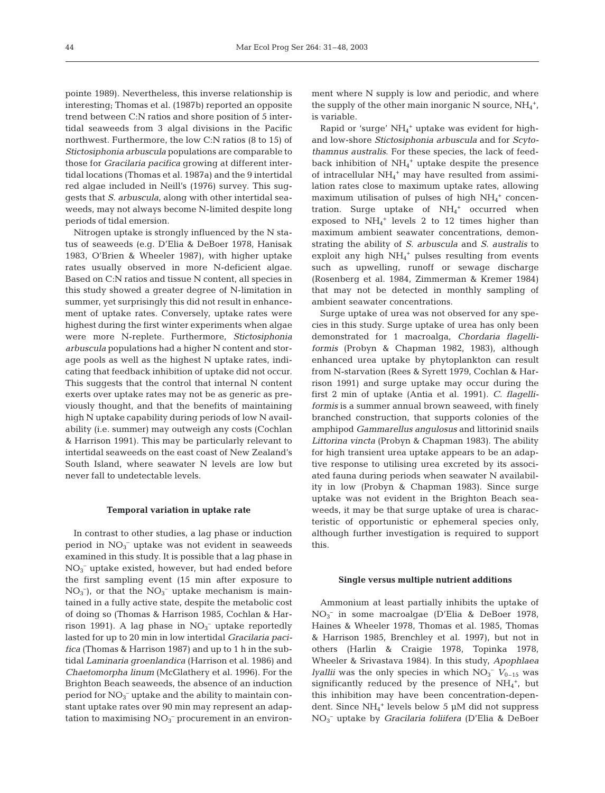pointe 1989). Nevertheless, this inverse relationship is interesting; Thomas et al. (1987b) reported an opposite trend between C:N ratios and shore position of 5 intertidal seaweeds from 3 algal divisions in the Pacific northwest. Furthermore, the low C:N ratios (8 to 15) of *Stictosiphonia arbuscula* populations are comparable to those for *Gracilaria pacifica* growing at different intertidal locations (Thomas et al. 1987a) and the 9 intertidal red algae included in Neill's (1976) survey. This suggests that *S. arbuscula*, along with other intertidal seaweeds, may not always become N-limited despite long periods of tidal emersion.

Nitrogen uptake is strongly influenced by the N status of seaweeds (e.g. D'Elia & DeBoer 1978, Hanisak 1983, O'Brien & Wheeler 1987), with higher uptake rates usually observed in more N-deficient algae. Based on C:N ratios and tissue N content, all species in this study showed a greater degree of N-limitation in summer, yet surprisingly this did not result in enhancement of uptake rates. Conversely, uptake rates were highest during the first winter experiments when algae were more N-replete. Furthermore, *Stictosiphonia arbuscula* populations had a higher N content and storage pools as well as the highest N uptake rates, indicating that feedback inhibition of uptake did not occur. This suggests that the control that internal N content exerts over uptake rates may not be as generic as previously thought, and that the benefits of maintaining high N uptake capability during periods of low N availability (i.e. summer) may outweigh any costs (Cochlan & Harrison 1991). This may be particularly relevant to intertidal seaweeds on the east coast of New Zealand's South Island, where seawater N levels are low but never fall to undetectable levels.

## **Temporal variation in uptake rate**

In contrast to other studies, a lag phase or induction period in  $NO<sub>3</sub><sup>-</sup>$  uptake was not evident in seaweeds examined in this study. It is possible that a lag phase in  $NO<sub>3</sub><sup>-</sup>$  uptake existed, however, but had ended before the first sampling event (15 min after exposure to  $NO<sub>3</sub><sup>-</sup>$ ), or that the  $NO<sub>3</sub><sup>-</sup>$  uptake mechanism is maintained in a fully active state, despite the metabolic cost of doing so (Thomas & Harrison 1985, Cochlan & Harrison 1991). A lag phase in  $NO<sub>3</sub><sup>-</sup>$  uptake reportedly lasted for up to 20 min in low intertidal *Gracilaria pacifica* (Thomas & Harrison 1987) and up to 1 h in the subtidal *Laminaria groenlandica* (Harrison et al. 1986) and *Chaetomorpha linum* (McGlathery et al. 1996). For the Brighton Beach seaweeds, the absence of an induction period for  $NO_3^-$  uptake and the ability to maintain constant uptake rates over 90 min may represent an adaptation to maximising  $NO<sub>3</sub><sup>-</sup>$  procurement in an environ-

ment where N supply is low and periodic, and where the supply of the other main inorganic N source,  $NH_4^+$ , is variable.

Rapid or 'surge' NH4 <sup>+</sup> uptake was evident for highand low-shore *Stictosiphonia arbuscula* and for *Scytothamnus australis*. For these species, the lack of feedback inhibition of  $NH_4$ <sup>+</sup> uptake despite the presence of intracellular NH<sub>4</sub><sup>+</sup> may have resulted from assimilation rates close to maximum uptake rates, allowing maximum utilisation of pulses of high  $NH_4^+$  concentration. Surge uptake of  $NH_4$ <sup>+</sup> occurred when exposed to  $NH_4$ <sup>+</sup> levels 2 to 12 times higher than maximum ambient seawater concentrations, demonstrating the ability of *S. arbuscula* and *S. australis* to exploit any high  $NH_4$ <sup>+</sup> pulses resulting from events such as upwelling, runoff or sewage discharge (Rosenberg et al. 1984, Zimmerman & Kremer 1984) that may not be detected in monthly sampling of ambient seawater concentrations.

Surge uptake of urea was not observed for any species in this study. Surge uptake of urea has only been demonstrated for 1 macroalga, *Chordaria flagelliformis* (Probyn & Chapman 1982, 1983), although enhanced urea uptake by phytoplankton can result from N-starvation (Rees & Syrett 1979, Cochlan & Harrison 1991) and surge uptake may occur during the first 2 min of uptake (Antia et al. 1991). *C. flagelliformis* is a summer annual brown seaweed, with finely branched construction, that supports colonies of the amphipod *Gammarellus angulosus* and littorinid snails *Littorina vincta* (Probyn & Chapman 1983). The ability for high transient urea uptake appears to be an adaptive response to utilising urea excreted by its associated fauna during periods when seawater N availability in low (Probyn & Chapman 1983). Since surge uptake was not evident in the Brighton Beach seaweeds, it may be that surge uptake of urea is characteristic of opportunistic or ephemeral species only, although further investigation is required to support this.

## **Single versus multiple nutrient additions**

Ammonium at least partially inhibits the uptake of NO3 – in some macroalgae (D'Elia & DeBoer 1978, Haines & Wheeler 1978, Thomas et al. 1985, Thomas & Harrison 1985, Brenchley et al. 1997), but not in others (Harlin & Craigie 1978, Topinka 1978, Wheeler & Srivastava 1984). In this study, *Apophlaea lyallii* was the only species in which  $NO<sub>3</sub><sup>-</sup> V<sub>0-15</sub>$  was significantly reduced by the presence of  $NH_4^+$ , but this inhibition may have been concentration-dependent. Since NH<sub>4</sub><sup>+</sup> levels below 5 µM did not suppress NO3 – uptake by *Gracilaria foliifera* (D'Elia & DeBoer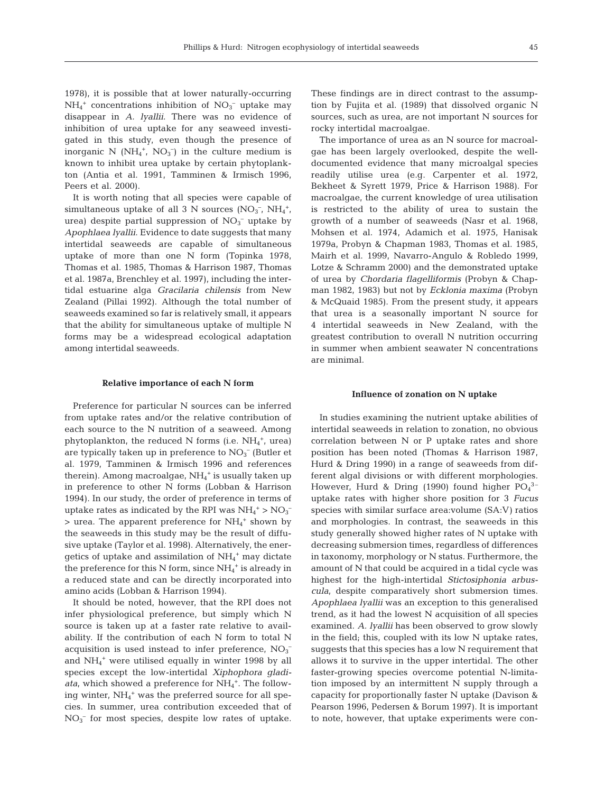1978), it is possible that at lower naturally-occurring  $NH_4^+$  concentrations inhibition of  $NO_3^-$  uptake may disappear in *A. lyallii*. There was no evidence of inhibition of urea uptake for any seaweed investigated in this study, even though the presence of inorganic N  $(NH_4^+$ ,  $NO_3^-)$  in the culture medium is known to inhibit urea uptake by certain phytoplankton (Antia et al. 1991, Tamminen & Irmisch 1996, Peers et al. 2000).

It is worth noting that all species were capable of simultaneous uptake of all 3 N sources (NO<sub>3</sub><sup>-</sup>, NH<sub>4</sub><sup>+</sup>, urea) despite partial suppression of  $NO<sub>3</sub><sup>-</sup>$  uptake by *Apophlaea lyallii*. Evidence to date suggests that many intertidal seaweeds are capable of simultaneous uptake of more than one N form (Topinka 1978, Thomas et al. 1985, Thomas & Harrison 1987, Thomas et al. 1987a, Brenchley et al. 1997), including the intertidal estuarine alga *Gracilaria chilensis* from New Zealand (Pillai 1992). Although the total number of seaweeds examined so far is relatively small, it appears that the ability for simultaneous uptake of multiple N forms may be a widespread ecological adaptation among intertidal seaweeds.

# **Relative importance of each N form**

Preference for particular N sources can be inferred from uptake rates and/or the relative contribution of each source to the N nutrition of a seaweed. Among phytoplankton, the reduced N forms (i.e.  $NH_4^+$ , urea) are typically taken up in preference to  $NO<sub>3</sub><sup>-</sup>$  (Butler et al. 1979, Tamminen & Irmisch 1996 and references therein). Among macroalgae, NH<sub>4</sub><sup>+</sup> is usually taken up in preference to other N forms (Lobban & Harrison 1994). In our study, the order of preference in terms of uptake rates as indicated by the RPI was  $NH_4^+ > NO_3^ >$  urea. The apparent preference for  $NH_4^+$  shown by the seaweeds in this study may be the result of diffusive uptake (Taylor et al. 1998). Alternatively, the energetics of uptake and assimilation of  $NH_4^+$  may dictate the preference for this N form, since  $NH_4^+$  is already in a reduced state and can be directly incorporated into amino acids (Lobban & Harrison 1994).

It should be noted, however, that the RPI does not infer physiological preference, but simply which N source is taken up at a faster rate relative to availability. If the contribution of each N form to total N acquisition is used instead to infer preference,  $NO<sub>3</sub>$ <sup>-</sup> and NH4 <sup>+</sup> were utilised equally in winter 1998 by all species except the low-intertidal *Xiphophora gladi*ata, which showed a preference for  $NH_4^+$ . The following winter, NH<sub>4</sub><sup>+</sup> was the preferred source for all species. In summer, urea contribution exceeded that of NO3 – for most species, despite low rates of uptake.

These findings are in direct contrast to the assumption by Fujita et al. (1989) that dissolved organic N sources, such as urea, are not important N sources for rocky intertidal macroalgae.

The importance of urea as an N source for macroalgae has been largely overlooked, despite the welldocumented evidence that many microalgal species readily utilise urea (e.g. Carpenter et al. 1972, Bekheet & Syrett 1979, Price & Harrison 1988). For macroalgae, the current knowledge of urea utilisation is restricted to the ability of urea to sustain the growth of a number of seaweeds (Nasr et al. 1968, Mohsen et al. 1974, Adamich et al. 1975, Hanisak 1979a, Probyn & Chapman 1983, Thomas et al. 1985, Mairh et al. 1999, Navarro-Angulo & Robledo 1999, Lotze & Schramm 2000) and the demonstrated uptake of urea by *Chordaria flagelliformis* (Probyn & Chapman 1982, 1983) but not by *Ecklonia maxima* (Probyn & McQuaid 1985). From the present study, it appears that urea is a seasonally important N source for 4 intertidal seaweeds in New Zealand, with the greatest contribution to overall N nutrition occurring in summer when ambient seawater N concentrations are minimal.

## **Influence of zonation on N uptake**

In studies examining the nutrient uptake abilities of intertidal seaweeds in relation to zonation, no obvious correlation between N or P uptake rates and shore position has been noted (Thomas & Harrison 1987, Hurd & Dring 1990) in a range of seaweeds from different algal divisions or with different morphologies. However, Hurd & Dring (1990) found higher  $PO<sub>4</sub><sup>3</sup>$ uptake rates with higher shore position for 3 *Fucus* species with similar surface area:volume (SA:V*)* ratios and morphologies. In contrast, the seaweeds in this study generally showed higher rates of N uptake with decreasing submersion times, regardless of differences in taxonomy, morphology or N status. Furthermore, the amount of N that could be acquired in a tidal cycle was highest for the high-intertidal *Stictosiphonia arbuscula*, despite comparatively short submersion times. *Apophlaea lyallii* was an exception to this generalised trend, as it had the lowest N acquisition of all species examined. *A. lyallii* has been observed to grow slowly in the field; this, coupled with its low N uptake rates, suggests that this species has a low N requirement that allows it to survive in the upper intertidal. The other faster-growing species overcome potential N-limitation imposed by an intermittent N supply through a capacity for proportionally faster N uptake (Davison & Pearson 1996, Pedersen & Borum 1997). It is important to note, however, that uptake experiments were con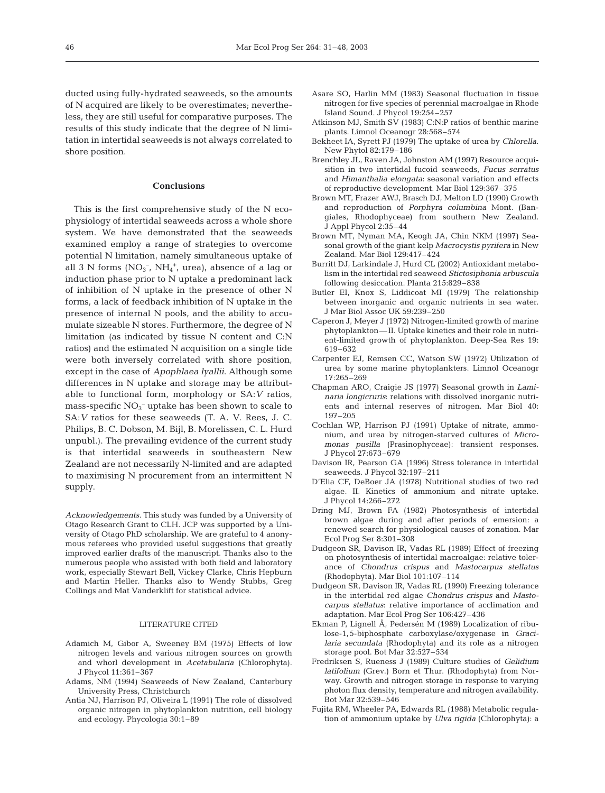ducted using fully-hydrated seaweeds, so the amounts of N acquired are likely to be overestimates; nevertheless, they are still useful for comparative purposes. The results of this study indicate that the degree of N limitation in intertidal seaweeds is not always correlated to shore position.

# **Conclusions**

This is the first comprehensive study of the N ecophysiology of intertidal seaweeds across a whole shore system. We have demonstrated that the seaweeds examined employ a range of strategies to overcome potential N limitation, namely simultaneous uptake of all 3 N forms  $(NO<sub>3</sub><sup>-</sup>, NH<sub>4</sub><sup>+</sup>, area),$  absence of a lag or induction phase prior to N uptake a predominant lack of inhibition of N uptake in the presence of other N forms, a lack of feedback inhibition of N uptake in the presence of internal N pools, and the ability to accumulate sizeable N stores. Furthermore, the degree of N limitation (as indicated by tissue N content and C:N ratios) and the estimated N acquisition on a single tide were both inversely correlated with shore position, except in the case of *Apophlaea lyallii*. Although some differences in N uptake and storage may be attributable to functional form, morphology or SA:*V* ratios, mass-specific  $NO_3^-$  uptake has been shown to scale to SA:*V* ratios for these seaweeds (T. A. V. Rees, J. C. Philips, B. C. Dobson, M. Bijl, B. Morelissen, C. L. Hurd unpubl.). The prevailing evidence of the current study is that intertidal seaweeds in southeastern New Zealand are not necessarily N-limited and are adapted to maximising N procurement from an intermittent N supply.

*Acknowledgements.* This study was funded by a University of Otago Research Grant to CLH. JCP was supported by a University of Otago PhD scholarship. We are grateful to 4 anonymous referees who provided useful suggestions that greatly improved earlier drafts of the manuscript. Thanks also to the numerous people who assisted with both field and laboratory work, especially Stewart Bell, Vickey Clarke, Chris Hepburn and Martin Heller. Thanks also to Wendy Stubbs, Greg Collings and Mat Vanderklift for statistical advice.

# LITERATURE CITED

- Adamich M, Gibor A, Sweeney BM (1975) Effects of low nitrogen levels and various nitrogen sources on growth and whorl development in *Acetabularia* (Chlorophyta). J Phycol 11:361–367
- Adams, NM (1994) Seaweeds of New Zealand, Canterbury University Press, Christchurch
- Antia NJ, Harrison PJ, Oliveira L (1991) The role of dissolved organic nitrogen in phytoplankton nutrition, cell biology and ecology. Phycologia 30:1–89
- Asare SO, Harlin MM (1983) Seasonal fluctuation in tissue nitrogen for five species of perennial macroalgae in Rhode Island Sound. J Phycol 19:254–257
- Atkinson MJ, Smith SV (1983) C:N:P ratios of benthic marine plants. Limnol Oceanogr 28:568–574
- Bekheet IA, Syrett PJ (1979) The uptake of urea by *Chlorella.* New Phytol 82:179–186
- Brenchley JL, Raven JA, Johnston AM (1997) Resource acquisition in two intertidal fucoid seaweeds, *Fucus serratus* and *Himanthalia elongata*: seasonal variation and effects of reproductive development. Mar Biol 129:367–375
- Brown MT, Frazer AWJ, Brasch DJ, Melton LD (1990) Growth and reproduction of *Porphyra columbina* Mont. (Bangiales, Rhodophyceae) from southern New Zealand. J Appl Phycol 2:35–44
- Brown MT, Nyman MA, Keogh JA, Chin NKM (1997) Seasonal growth of the giant kelp *Macrocystis pyrifera* in New Zealand. Mar Biol 129:417–424
- Burritt DJ, Larkindale J, Hurd CL (2002) Antioxidant metabolism in the intertidal red seaweed *Stictosiphonia arbuscula* following desiccation. Planta 215:829–838
- Butler EI, Knox S, Liddicoat MI (1979) The relationship between inorganic and organic nutrients in sea water. J Mar Biol Assoc UK 59:239–250
- Caperon J, Meyer J (1972) Nitrogen-limited growth of marine phytoplankton—II. Uptake kinetics and their role in nutrient-limited growth of phytoplankton. Deep-Sea Res 19: 619–632
- Carpenter EJ, Remsen CC, Watson SW (1972) Utilization of urea by some marine phytoplankters. Limnol Oceanogr 17:265–269
- Chapman ARO, Craigie JS (1977) Seasonal growth in *Laminaria longicruris*: relations with dissolved inorganic nutrients and internal reserves of nitrogen. Mar Biol 40: 197–205
- Cochlan WP, Harrison PJ (1991) Uptake of nitrate, ammonium, and urea by nitrogen-starved cultures of *Micromonas pusilla* (Prasinophyceae): transient responses. J Phycol 27:673–679
- Davison IR, Pearson GA (1996) Stress tolerance in intertidal seaweeds. J Phycol 32:197–211
- D'Elia CF, DeBoer JA (1978) Nutritional studies of two red algae. II. Kinetics of ammonium and nitrate uptake. J Phycol 14:266–272
- Dring MJ, Brown FA (1982) Photosynthesis of intertidal brown algae during and after periods of emersion: a renewed search for physiological causes of zonation. Mar Ecol Prog Ser 8:301–308
- Dudgeon SR, Davison IR, Vadas RL (1989) Effect of freezing on photosynthesis of intertidal macroalgae: relative tolerance of *Chondrus crispus* and *Mastocarpus stellatus* (Rhodophyta). Mar Biol 101:107–114
- Dudgeon SR, Davison IR, Vadas RL (1990) Freezing tolerance in the intertidal red algae *Chondrus crispus* and *Mastocarpus stellatus*: relative importance of acclimation and adaptation. Mar Ecol Prog Ser 106:427–436
- Ekman P, Lignell Å, Pedersén M (1989) Localization of ribulose-1,5-biphosphate carboxylase/oxygenase in *Gracilaria secundata* (Rhodophyta) and its role as a nitrogen storage pool. Bot Mar 32:527–534
- Fredriksen S, Rueness J (1989) Culture studies of *Gelidium latifolium* (Grev.) Born et Thur. (Rhodophyta) from Norway. Growth and nitrogen storage in response to varying photon flux density, temperature and nitrogen availability. Bot Mar 32:539–546
- Fujita RM, Wheeler PA, Edwards RL (1988) Metabolic regulation of ammonium uptake by *Ulva rigida* (Chlorophyta): a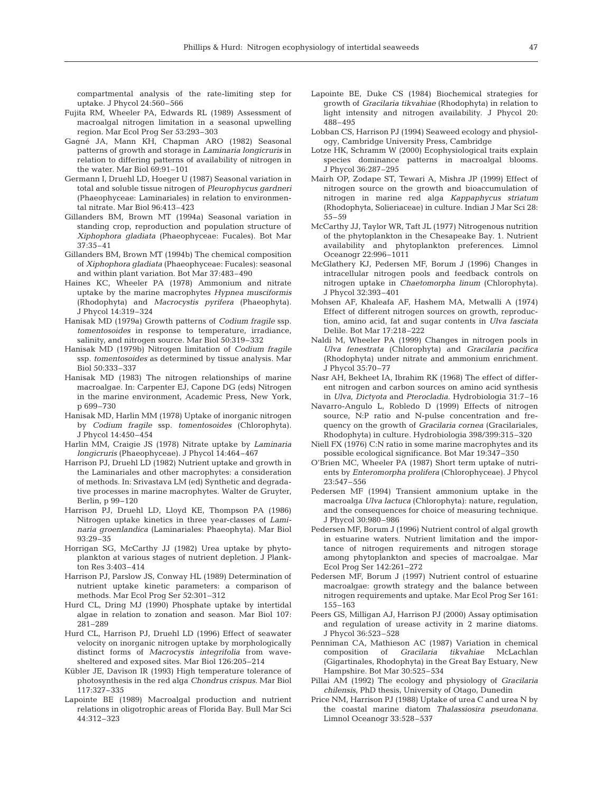compartmental analysis of the rate-limiting step for uptake. J Phycol 24:560–566

- Fujita RM, Wheeler PA, Edwards RL (1989) Assessment of macroalgal nitrogen limitation in a seasonal upwelling region. Mar Ecol Prog Ser 53:293–303
- Gagné JA, Mann KH, Chapman ARO (1982) Seasonal patterns of growth and storage in *Laminaria longicruris* in relation to differing patterns of availability of nitrogen in the water. Mar Biol 69:91–101
- Germann I, Druehl LD, Hoeger U (1987) Seasonal variation in total and soluble tissue nitrogen of *Pleurophycus gardneri* (Phaeophyceae: Laminariales) in relation to environmental nitrate. Mar Biol 96:413–423
- Gillanders BM, Brown MT (1994a) Seasonal variation in standing crop, reproduction and population structure of *Xiphophora gladiata* (Phaeophyceae: Fucales). Bot Mar 37:35–41
- Gillanders BM, Brown MT (1994b) The chemical composition of *Xiphophora gladiata* (Phaeophyceae: Fucales): seasonal and within plant variation. Bot Mar 37:483–490
- Haines KC, Wheeler PA (1978) Ammonium and nitrate uptake by the marine macrophytes *Hypnea musciformis* (Rhodophyta) and *Macrocystis pyrifera* (Phaeophyta). J Phycol 14:319–324
- Hanisak MD (1979a) Growth patterns of *Codium fragile* ssp. *tomentosoides* in response to temperature, irradiance, salinity, and nitrogen source. Mar Biol 50:319–332
- Hanisak MD (1979b) Nitrogen limitation of *Codium fragile* ssp. *tomentosoides* as determined by tissue analysis. Mar Biol 50:333–337
- Hanisak MD (1983) The nitrogen relationships of marine macroalgae. In: Carpenter EJ, Capone DG (eds) Nitrogen in the marine environment*,* Academic Press, New York, p 699–730
- Hanisak MD, Harlin MM (1978) Uptake of inorganic nitrogen by *Codium fragile* ssp. *tomentosoides* (Chlorophyta). J Phycol 14:450–454
- Harlin MM, Craigie JS (1978) Nitrate uptake by *Laminaria longicruris* (Phaeophyceae). J Phycol 14:464–467
- Harrison PJ, Druehl LD (1982) Nutrient uptake and growth in the Laminariales and other macrophytes: a consideration of methods. In: Srivastava LM (ed) Synthetic and degradative processes in marine macrophytes. Walter de Gruyter, Berlin, p 99–120
- Harrison PJ, Druehl LD, Lloyd KE, Thompson PA (1986) Nitrogen uptake kinetics in three year-classes of *Laminaria groenlandica* (Laminariales: Phaeophyta). Mar Biol 93:29–35
- Horrigan SG, McCarthy JJ (1982) Urea uptake by phytoplankton at various stages of nutrient depletion. J Plankton Res 3:403–414
- Harrison PJ, Parslow JS, Conway HL (1989) Determination of nutrient uptake kinetic parameters: a comparison of methods. Mar Ecol Prog Ser 52:301–312
- Hurd CL, Dring MJ (1990) Phosphate uptake by intertidal algae in relation to zonation and season. Mar Biol 107: 281–289
- Hurd CL, Harrison PJ, Druehl LD (1996) Effect of seawater velocity on inorganic nitrogen uptake by morphologically distinct forms of *Macrocystis integrifolia* from wavesheltered and exposed sites. Mar Biol 126:205–214
- Kübler JE, Davison IR (1993) High temperature tolerance of photosynthesis in the red alga *Chondrus crispus.* Mar Biol 117:327–335
- Lapointe BE (1989) Macroalgal production and nutrient relations in oligotrophic areas of Florida Bay. Bull Mar Sci 44:312–323
- Lapointe BE, Duke CS (1984) Biochemical strategies for growth of *Gracilaria tikvahiae* (Rhodophyta) in relation to light intensity and nitrogen availability. J Phycol 20: 488–495
- Lobban CS, Harrison PJ (1994) Seaweed ecology and physiology*,* Cambridge University Press, Cambridge
- Lotze HK, Schramm W (2000) Ecophysiological traits explain species dominance patterns in macroalgal blooms. J Phycol 36:287–295
- Mairh OP, Zodape ST, Tewari A, Mishra JP (1999) Effect of nitrogen source on the growth and bioaccumulation of nitrogen in marine red alga *Kappaphycus striatum* (Rhodophyta, Solieriaceae) in culture. Indian J Mar Sci 28: 55–59
- McCarthy JJ, Taylor WR, Taft JL (1977) Nitrogenous nutrition of the phytoplankton in the Chesapeake Bay. 1. Nutrient availability and phytoplankton preferences. Limnol Oceanogr 22:996–1011
- McGlathery KJ, Pedersen MF, Borum J (1996) Changes in intracellular nitrogen pools and feedback controls on nitrogen uptake in *Chaetomorpha linum* (Chlorophyta). J Phycol 32:393–401
- Mohsen AF, Khaleafa AF, Hashem MA, Metwalli A (1974) Effect of different nitrogen sources on growth, reproduction, amino acid, fat and sugar contents in *Ulva fasciata* Delile. Bot Mar 17:218–222
- Naldi M, Wheeler PA (1999) Changes in nitrogen pools in *Ulva fenestrata* (Chlorophyta) and *Gracilaria pacifica* (Rhodophyta) under nitrate and ammonium enrichment. J Phycol 35:70–77
- Nasr AH, Bekheet IA, Ibrahim RK (1968) The effect of different nitrogen and carbon sources on amino acid synthesis in *Ulva*, *Dictyota* and *Pterocladia.* Hydrobiologia 31:7–16
- Navarro-Angulo L, Robledo D (1999) Effects of nitrogen source, N:P ratio and N-pulse concentration and frequency on the growth of *Gracilaria cornea* (Gracilariales, Rhodophyta) in culture. Hydrobiologia 398/399:315–320
- Niell FX (1976) C:N ratio in some marine macrophytes and its possible ecological significance. Bot Mar 19:347–350
- O'Brien MC, Wheeler PA (1987) Short term uptake of nutrients by *Enteromorpha prolifera* (Chlorophyceae). J Phycol 23:547–556
- Pedersen MF (1994) Transient ammonium uptake in the macroalga *Ulva lactuca* (Chlorophyta): nature, regulation, and the consequences for choice of measuring technique. J Phycol 30:980–986
- Pedersen MF, Borum J (1996) Nutrient control of algal growth in estuarine waters. Nutrient limitation and the importance of nitrogen requirements and nitrogen storage among phytoplankton and species of macroalgae. Mar Ecol Prog Ser 142:261–272
- Pedersen MF, Borum J (1997) Nutrient control of estuarine macroalgae: growth strategy and the balance between nitrogen requirements and uptake. Mar Ecol Prog Ser 161: 155–163
- Peers GS, Milligan AJ, Harrison PJ (2000) Assay optimisation and regulation of urease activity in 2 marine diatoms. J Phycol 36:523–528
- Penniman CA, Mathieson AC (1987) Variation in chemical composition of *Gracilaria tikvahiae* McLachlan (Gigartinales, Rhodophyta) in the Great Bay Estuary, New Hampshire. Bot Mar 30:525–534
- Pillai AM (1992) The ecology and physiology of *Gracilaria chilensis,* PhD thesis, University of Otago, Dunedin
- Price NM, Harrison PJ (1988) Uptake of urea C and urea N by the coastal marine diatom *Thalassiosira pseudonana.* Limnol Oceanogr 33:528–537